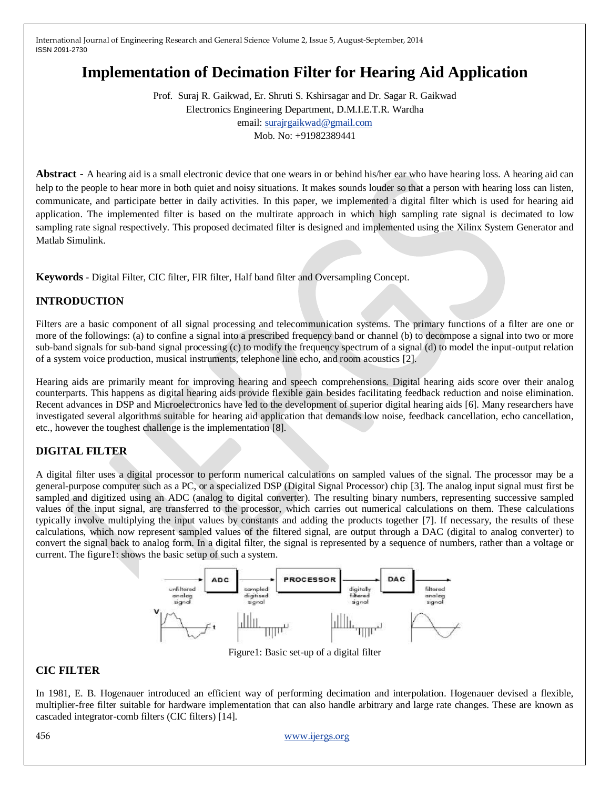# **Implementation of Decimation Filter for Hearing Aid Application**

Prof. Suraj R. Gaikwad, Er. Shruti S. Kshirsagar and Dr. Sagar R. Gaikwad Electronics Engineering Department, D.M.I.E.T.R. Wardha email[: surajrgaikwad@gmail.com](mailto:surajrgaikwad@gmail.com) Mob. No: +91982389441

**Abstract -** A hearing aid is a small electronic device that one wears in or behind his/her ear who have hearing loss. A hearing aid can help to the people to hear more in both quiet and noisy situations. It makes sounds louder so that a person with hearing loss can listen, communicate, and participate better in daily activities. In this paper, we implemented a digital filter which is used for hearing aid application. The implemented filter is based on the multirate approach in which high sampling rate signal is decimated to low sampling rate signal respectively. This proposed decimated filter is designed and implemented using the Xilinx System Generator and Matlab Simulink.

**Keywords -** Digital Filter, CIC filter, FIR filter, Half band filter and Oversampling Concept.

## **INTRODUCTION**

Filters are a basic component of all signal processing and telecommunication systems. The primary functions of a filter are one or more of the followings: (a) to confine a signal into a prescribed frequency band or channel (b) to decompose a signal into two or more sub-band signals for sub-band signal processing (c) to modify the frequency spectrum of a signal (d) to model the input-output relation of a system voice production, musical instruments, telephone line echo, and room acoustics [2].

Hearing aids are primarily meant for improving hearing and speech comprehensions. Digital hearing aids score over their analog counterparts. This happens as digital hearing aids provide flexible gain besides facilitating feedback reduction and noise elimination. Recent advances in DSP and Microelectronics have led to the development of superior digital hearing aids [6]. Many researchers have investigated several algorithms suitable for hearing aid application that demands low noise, feedback cancellation, echo cancellation, etc., however the toughest challenge is the implementation [8].

## **DIGITAL FILTER**

A digital filter uses a digital processor to perform numerical calculations on sampled values of the signal. The processor may be a general-purpose computer such as a PC, or a specialized DSP (Digital Signal Processor) chip [3]. The analog input signal must first be sampled and digitized using an ADC (analog to digital converter). The resulting binary numbers, representing successive sampled values of the input signal, are transferred to the processor, which carries out numerical calculations on them. These calculations typically involve multiplying the input values by constants and adding the products together [7]. If necessary, the results of these calculations, which now represent sampled values of the filtered signal, are output through a DAC (digital to analog converter) to convert the signal back to analog form. In a digital filter, the signal is represented by a sequence of numbers, rather than a voltage or current. The figure1: shows the basic setup of such a system.



Figure1: Basic set-up of a digital filter

## **CIC FILTER**

In 1981, E. B. Hogenauer introduced an efficient way of performing decimation and interpolation. Hogenauer devised a flexible, multiplier-free filter suitable for hardware implementation that can also handle arbitrary and large rate changes. These are known as cascaded integrator-comb filters (CIC filters) [14].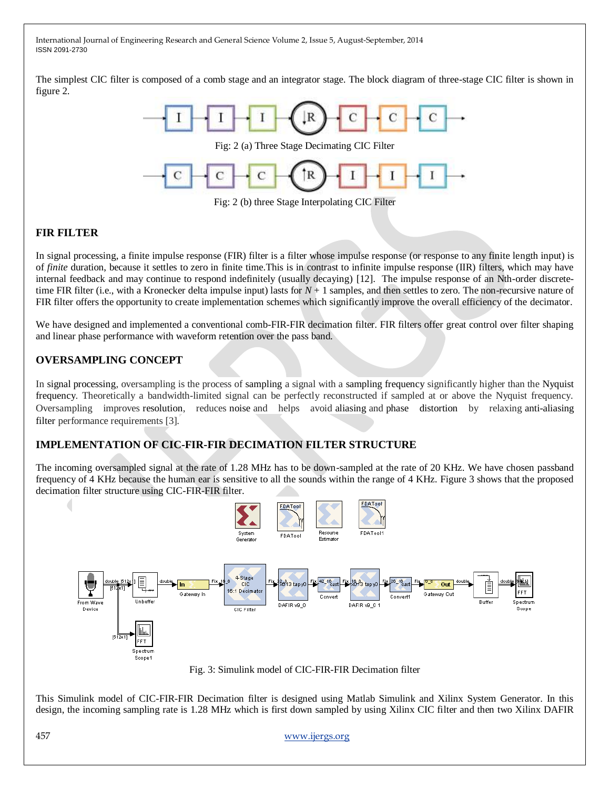The simplest CIC filter is composed of a comb stage and an integrator stage. The block diagram of three-stage CIC filter is shown in figure 2.



#### **FIR FILTER**

In signal processing, a finite impulse response (FIR) filter is a filter whose impulse response (or response to any finite length input) is of *finite* duration, because it settles to zero in finite time.This is in contrast to infinite impulse response (IIR) filters, which may have internal feedback and may continue to respond indefinitely (usually decaying) [12]. The impulse response of an Nth-order discretetime FIR filter (i.e., with a Kronecker delta impulse input) lasts for *N* + 1 samples, and then settles to zero. The non-recursive nature of FIR filter offers the opportunity to create implementation schemes which significantly improve the overall efficiency of the decimator.

We have designed and implemented a conventional comb-FIR-FIR decimation filter. FIR filters offer great control over filter shaping and linear phase performance with waveform retention over the pass band.

#### **OVERSAMPLING CONCEPT**

In signal processing, oversampling is the process of sampling a signal with a sampling frequency significantly higher than the Nyquist frequency. Theoretically a bandwidth-limited signal can be perfectly reconstructed if sampled at or above the Nyquist frequency. Oversampling improves resolution, reduces noise and helps avoid aliasing and phase distortion by relaxing anti-aliasing filter performance requirements [3].

#### **IMPLEMENTATION OF CIC-FIR-FIR DECIMATION FILTER STRUCTURE**

The incoming oversampled signal at the rate of 1.28 MHz has to be down-sampled at the rate of 20 KHz. We have chosen passband frequency of 4 KHz because the human ear is sensitive to all the sounds within the range of 4 KHz. Figure 3 shows that the proposed decimation filter structure using CIC-FIR-FIR filter.



This Simulink model of CIC-FIR-FIR Decimation filter is designed using Matlab Simulink and Xilinx System Generator. In this design, the incoming sampling rate is 1.28 MHz which is first down sampled by using Xilinx CIC filter and then two Xilinx DAFIR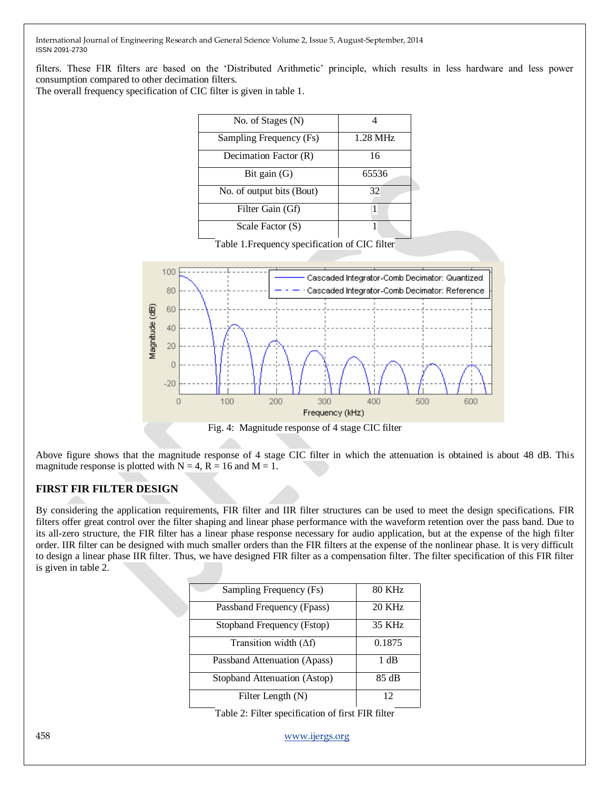filters. These FIR filters are based on the "Distributed Arithmetic" principle, which results in less hardware and less power consumption compared to other decimation filters.

The overall frequency specification of CIC filter is given in table 1.

| No. of Stages (N)         |          |  |  |
|---------------------------|----------|--|--|
| Sampling Frequency (Fs)   | 1.28 MHz |  |  |
| Decimation Factor (R)     | 16       |  |  |
| Bit gain $(G)$            | 65536    |  |  |
| No. of output bits (Bout) | 32       |  |  |
| Filter Gain (Gf)          |          |  |  |
| Scale Factor (S)          |          |  |  |

Table 1.Frequency specification of CIC filter



Fig. 4: Magnitude response of 4 stage CIC filter

Above figure shows that the magnitude response of 4 stage CIC filter in which the attenuation is obtained is about 48 dB. This magnitude response is plotted with  $N = 4$ ,  $R = 16$  and  $M = 1$ .

#### **FIRST FIR FILTER DESIGN**

By considering the application requirements, FIR filter and IIR filter structures can be used to meet the design specifications. FIR filters offer great control over the filter shaping and linear phase performance with the waveform retention over the pass band. Due to its all-zero structure, the FIR filter has a linear phase response necessary for audio application, but at the expense of the high filter order. IIR filter can be designed with much smaller orders than the FIR filters at the expense of the nonlinear phase. It is very difficult to design a linear phase IIR filter. Thus, we have designed FIR filter as a compensation filter. The filter specification of this FIR filter is given in table 2.

| Sampling Frequency (Fs)       | 80 KHz |
|-------------------------------|--------|
| Passband Frequency (Fpass)    | 20 KHz |
| Stopband Frequency (Fstop)    | 35 KHz |
| Transition width $(\Delta f)$ | 0.1875 |
| Passband Attenuation (Apass)  | 1 dB   |
| Stopband Attenuation (Astop)  | 85 dB  |
| Filter Length (N)             | 12     |
|                               |        |

Table 2: Filter specification of first FIR filter

458 [www.ijergs.org](http://www.ijergs.org/)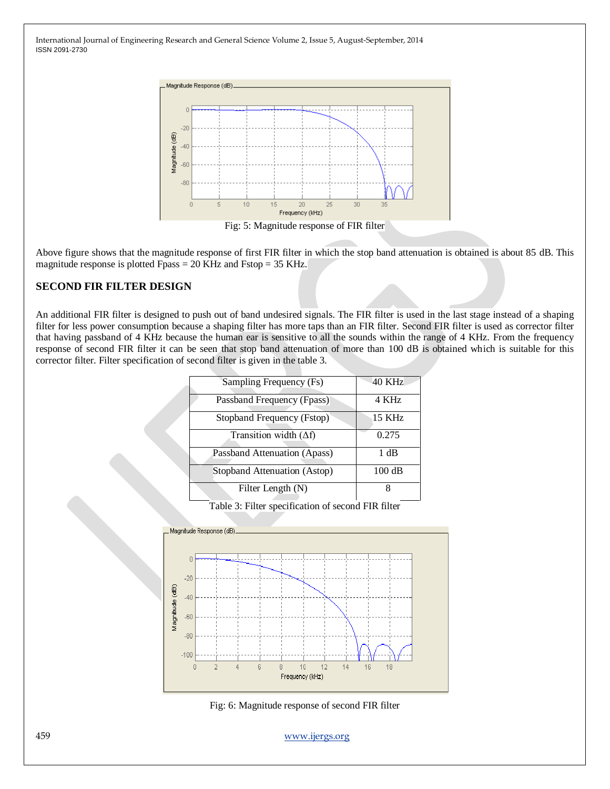

Above figure shows that the magnitude response of first FIR filter in which the stop band attenuation is obtained is about 85 dB. This magnitude response is plotted Fpass = 20 KHz and Fstop = 35 KHz.

#### **SECOND FIR FILTER DESIGN**

An additional FIR filter is designed to push out of band undesired signals. The FIR filter is used in the last stage instead of a shaping filter for less power consumption because a shaping filter has more taps than an FIR filter. Second FIR filter is used as corrector filter that having passband of 4 KHz because the human ear is sensitive to all the sounds within the range of 4 KHz. From the frequency response of second FIR filter it can be seen that stop band attenuation of more than 100 dB is obtained which is suitable for this corrector filter. Filter specification of second filter is given in the table 3.

| Sampling Frequency (Fs)       | 40 KHz           |
|-------------------------------|------------------|
| Passband Frequency (Fpass)    | 4 KHz            |
| Stopband Frequency (Fstop)    | 15 KHz           |
| Transition width $(\Delta f)$ | 0.275            |
| Passband Attenuation (Apass)  | 1 dB             |
| Stopband Attenuation (Astop)  | $100 \text{ dB}$ |
| Filter Length (N)             | 8                |

Table 3: Filter specification of second FIR filter



Fig: 6: Magnitude response of second FIR filter

459 [www.ijergs.org](http://www.ijergs.org/)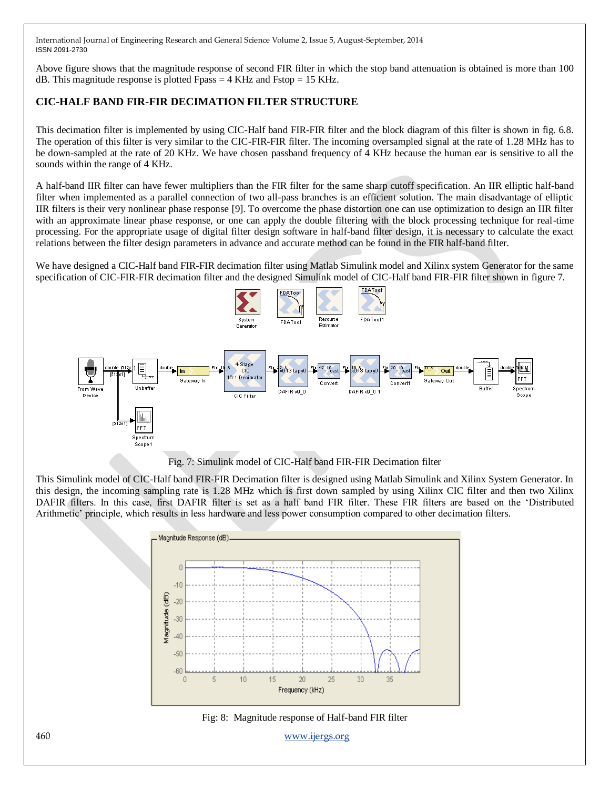Above figure shows that the magnitude response of second FIR filter in which the stop band attenuation is obtained is more than 100 dB. This magnitude response is plotted Fpass  $=$  4 KHz and Fstop  $=$  15 KHz.

## **CIC-HALF BAND FIR-FIR DECIMATION FILTER STRUCTURE**

This decimation filter is implemented by using CIC-Half band FIR-FIR filter and the block diagram of this filter is shown in fig. 6.8. The operation of this filter is very similar to the CIC-FIR-FIR filter. The incoming oversampled signal at the rate of 1.28 MHz has to be down-sampled at the rate of 20 KHz. We have chosen passband frequency of 4 KHz because the human ear is sensitive to all the sounds within the range of 4 KHz.

A half-band IIR filter can have fewer multipliers than the FIR filter for the same sharp cutoff specification. An IIR elliptic half-band filter when implemented as a parallel connection of two all-pass branches is an efficient solution. The main disadvantage of elliptic IIR filters is their very nonlinear phase response [9]. To overcome the phase distortion one can use optimization to design an IIR filter with an approximate linear phase response, or one can apply the double filtering with the block processing technique for real-time processing. For the appropriate usage of digital filter design software in half-band filter design, it is necessary to calculate the exact relations between the filter design parameters in advance and accurate method can be found in the FIR half-band filter.

We have designed a CIC-Half band FIR-FIR decimation filter using Matlab Simulink model and Xilinx system Generator for the same specification of CIC-FIR-FIR decimation filter and the designed Simulink model of CIC-Half band FIR-FIR filter shown in figure 7.



Fig. 7: Simulink model of CIC-Half band FIR-FIR Decimation filter

This Simulink model of CIC-Half band FIR-FIR Decimation filter is designed using Matlab Simulink and Xilinx System Generator. In this design, the incoming sampling rate is 1.28 MHz which is first down sampled by using Xilinx CIC filter and then two Xilinx DAFIR filters. In this case, first DAFIR filter is set as a half band FIR filter. These FIR filters are based on the "Distributed Arithmetic' principle, which results in less hardware and less power consumption compared to other decimation filters.





460 [www.ijergs.org](http://www.ijergs.org/)